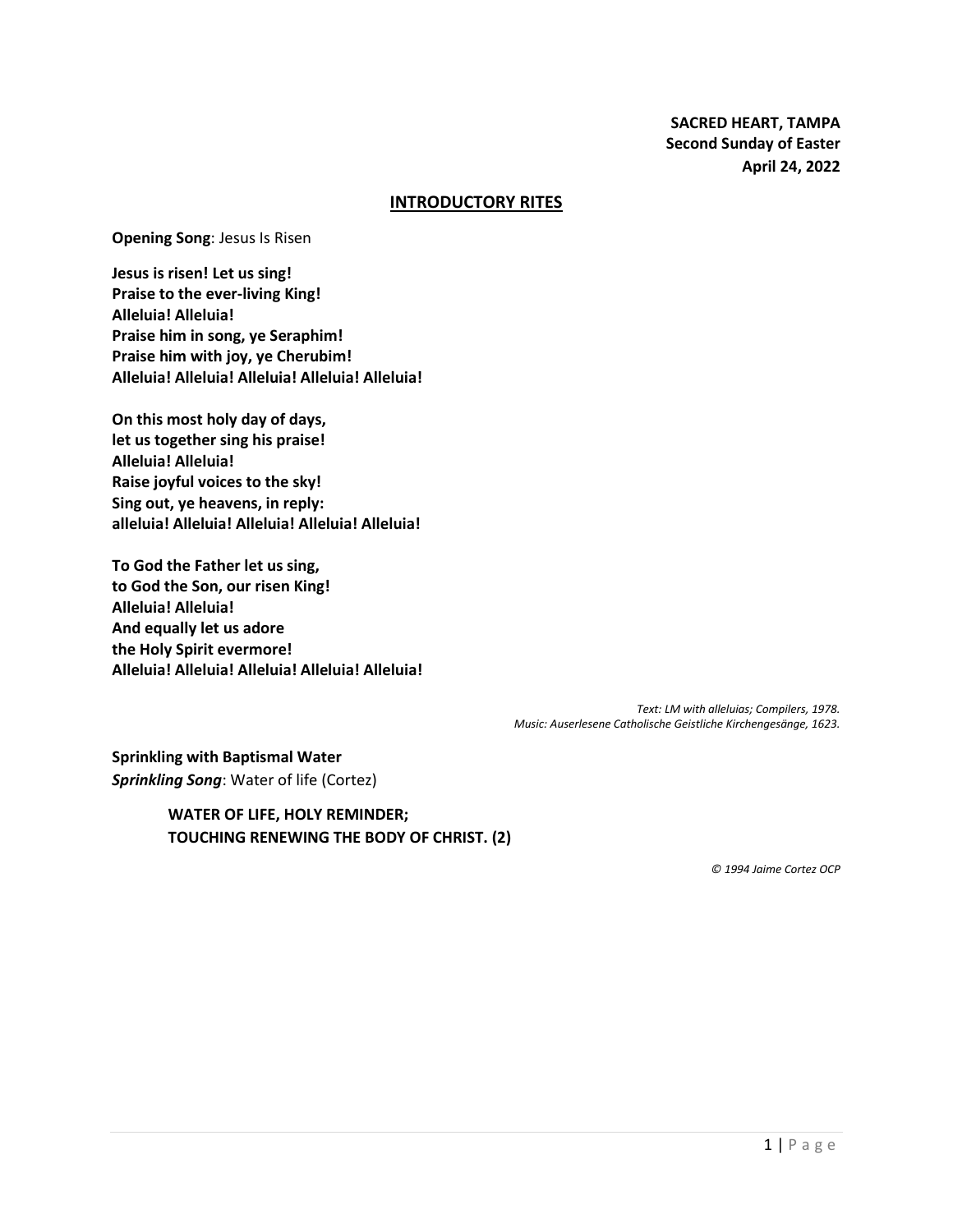**SACRED HEART, TAMPA Second Sunday of Easter April 24, 2022**

#### **INTRODUCTORY RITES**

**Opening Song**: Jesus Is Risen

**Jesus is risen! Let us sing! Praise to the ever-living King! Alleluia! Alleluia! Praise him in song, ye Seraphim! Praise him with joy, ye Cherubim! Alleluia! Alleluia! Alleluia! Alleluia! Alleluia!**

**On this most holy day of days, let us together sing his praise! Alleluia! Alleluia! Raise joyful voices to the sky! Sing out, ye heavens, in reply: alleluia! Alleluia! Alleluia! Alleluia! Alleluia!**

**To God the Father let us sing, to God the Son, our risen King! Alleluia! Alleluia! And equally let us adore the Holy Spirit evermore! Alleluia! Alleluia! Alleluia! Alleluia! Alleluia!**

> *Text: LM with alleluias; Compilers, 1978. Music: Auserlesene Catholische Geistliche Kirchengesänge, 1623.*

**Sprinkling with Baptismal Water** *Sprinkling Song*: Water of life (Cortez)

> **WATER OF LIFE, HOLY REMINDER; TOUCHING RENEWING THE BODY OF CHRIST. (2)**

> > *© 1994 Jaime Cortez OCP*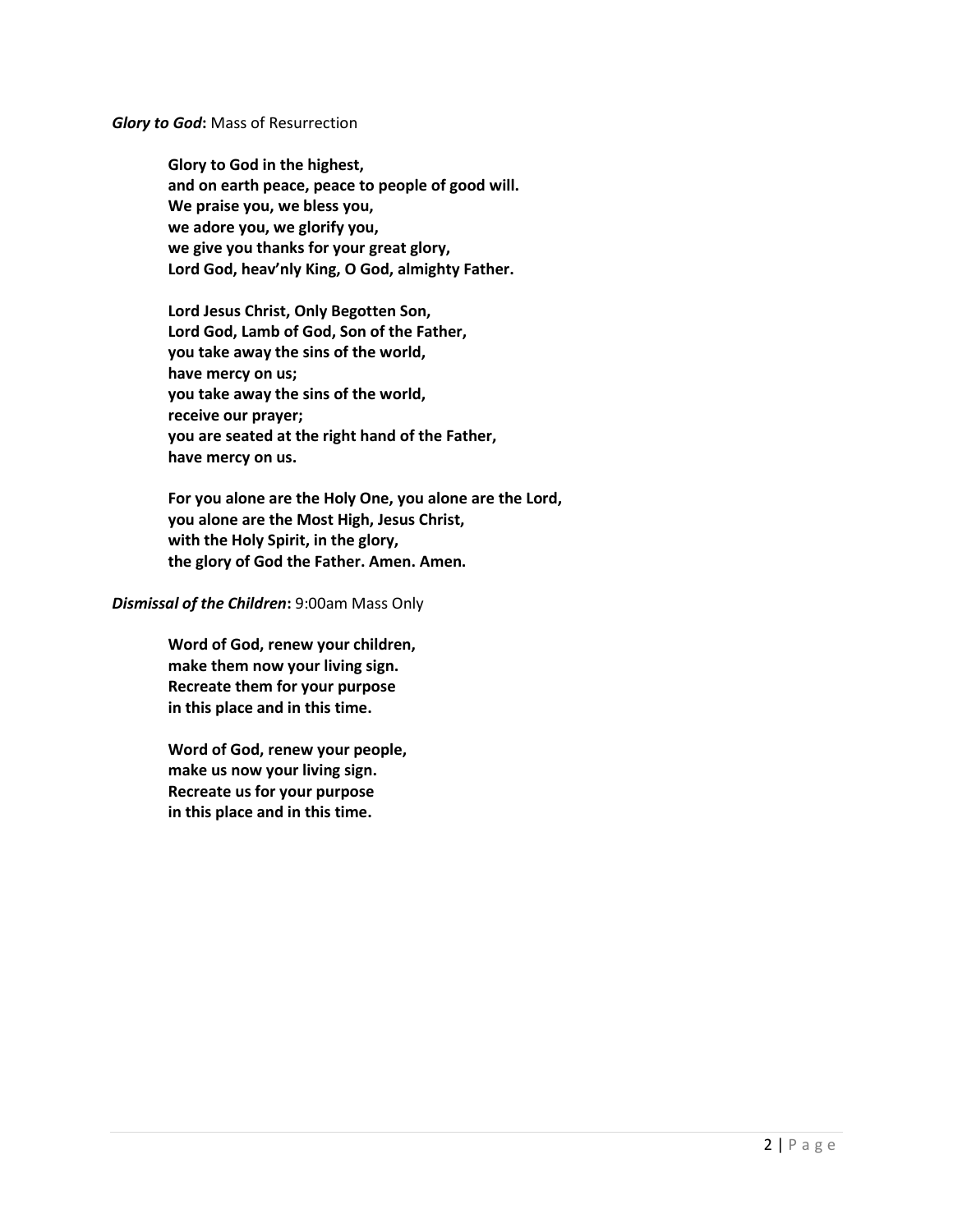#### *Glory to God***:** Mass of Resurrection

**Glory to God in the highest, and on earth peace, peace to people of good will. We praise you, we bless you, we adore you, we glorify you, we give you thanks for your great glory, Lord God, heav'nly King, O God, almighty Father.**

**Lord Jesus Christ, Only Begotten Son, Lord God, Lamb of God, Son of the Father, you take away the sins of the world, have mercy on us; you take away the sins of the world, receive our prayer; you are seated at the right hand of the Father, have mercy on us.**

**For you alone are the Holy One, you alone are the Lord, you alone are the Most High, Jesus Christ, with the Holy Spirit, in the glory, the glory of God the Father. Amen. Amen.**

#### *Dismissal of the Children***:** 9:00am Mass Only

**Word of God, renew your children, make them now your living sign. Recreate them for your purpose in this place and in this time.**

**Word of God, renew your people, make us now your living sign. Recreate us for your purpose in this place and in this time.**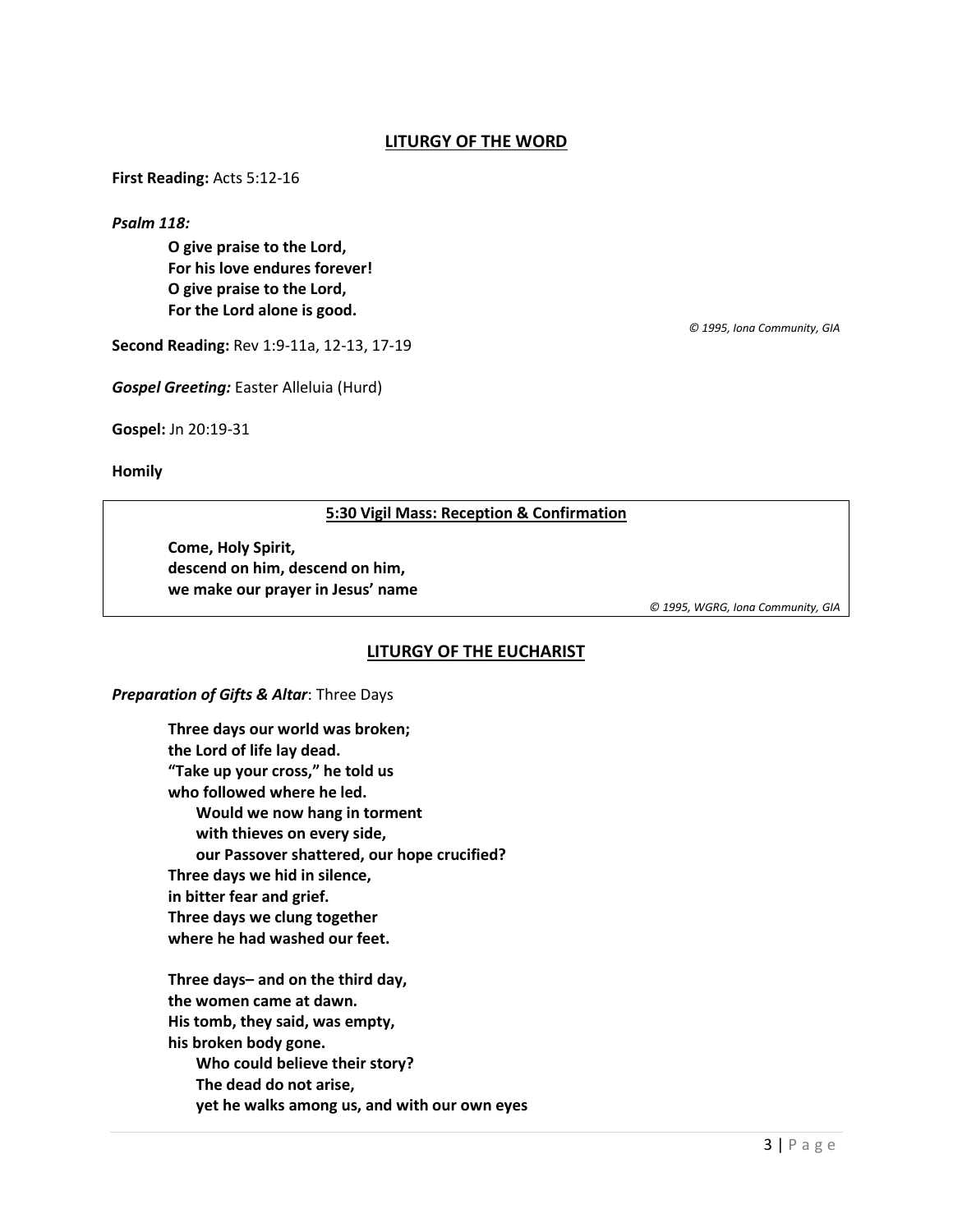## **LITURGY OF THE WORD**

**First Reading:** Acts 5:12-16

*Psalm 118:*

**O give praise to the Lord, For his love endures forever! O give praise to the Lord, For the Lord alone is good.**

**Second Reading:** Rev 1:9-11a, 12-13, 17-19

*Gospel Greeting:* Easter Alleluia (Hurd)

**Gospel:** Jn 20:19-31

**Homily**

**5:30 Vigil Mass: Reception & Confirmation**

**Come, Holy Spirit, descend on him, descend on him, we make our prayer in Jesus' name**

*© 1995, WGRG, Iona Community, GIA*

*© 1995, Iona Community, GIA*

### **LITURGY OF THE EUCHARIST**

#### *Preparation of Gifts & Altar*: Three Days

**Three days our world was broken; the Lord of life lay dead. "Take up your cross," he told us who followed where he led. Would we now hang in torment with thieves on every side, our Passover shattered, our hope crucified? Three days we hid in silence, in bitter fear and grief. Three days we clung together where he had washed our feet.**

**Three days– and on the third day, the women came at dawn. His tomb, they said, was empty, his broken body gone. Who could believe their story? The dead do not arise, yet he walks among us, and with our own eyes**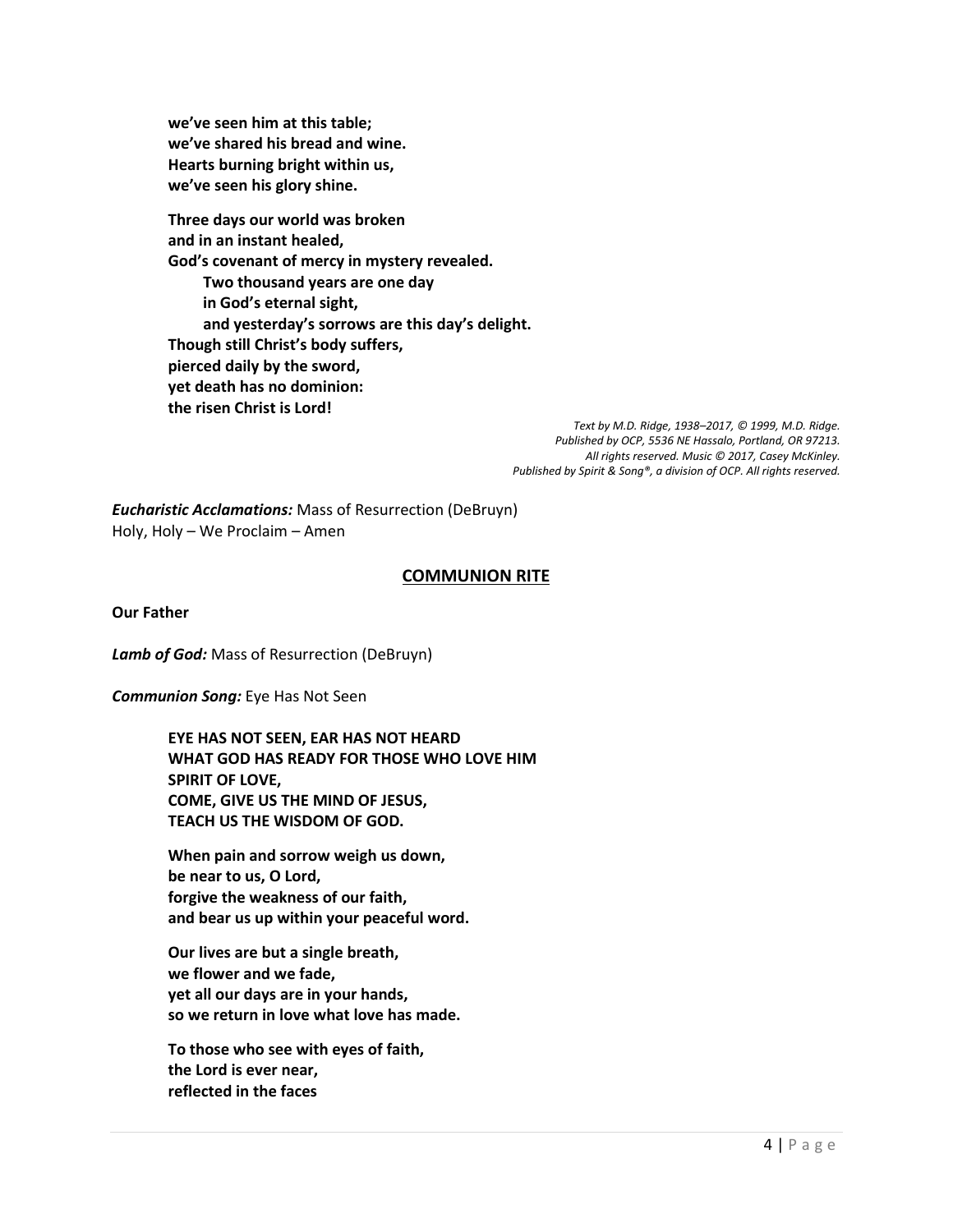**we've seen him at this table; we've shared his bread and wine. Hearts burning bright within us, we've seen his glory shine.**

**Three days our world was broken and in an instant healed, God's covenant of mercy in mystery revealed. Two thousand years are one day in God's eternal sight, and yesterday's sorrows are this day's delight. Though still Christ's body suffers, pierced daily by the sword, yet death has no dominion: the risen Christ is Lord!** 

> *Text by M.D. Ridge, 1938–2017, © 1999, M.D. Ridge. Published by OCP, 5536 NE Hassalo, Portland, OR 97213. All rights reserved. Music © 2017, Casey McKinley. Published by Spirit & Song®, a division of OCP. All rights reserved.*

*Eucharistic Acclamations:* Mass of Resurrection (DeBruyn) Holy, Holy – We Proclaim – Amen

## **COMMUNION RITE**

**Our Father**

*Lamb of God:* Mass of Resurrection (DeBruyn)

*Communion Song:* Eye Has Not Seen

**EYE HAS NOT SEEN, EAR HAS NOT HEARD WHAT GOD HAS READY FOR THOSE WHO LOVE HIM SPIRIT OF LOVE, COME, GIVE US THE MIND OF JESUS, TEACH US THE WISDOM OF GOD.**

**When pain and sorrow weigh us down, be near to us, O Lord, forgive the weakness of our faith, and bear us up within your peaceful word.**

**Our lives are but a single breath, we flower and we fade, yet all our days are in your hands, so we return in love what love has made.**

**To those who see with eyes of faith, the Lord is ever near, reflected in the faces**